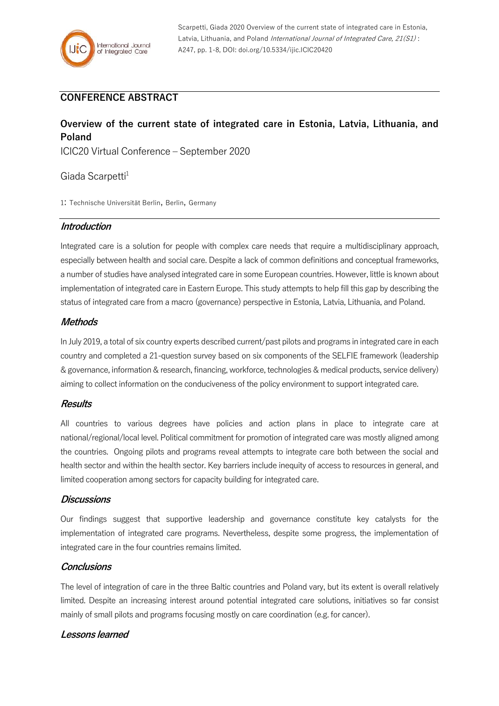

# **CONFERENCE ABSTRACT**

# **Overview of the current state of integrated care in Estonia, Latvia, Lithuania, and Poland**

ICIC20 Virtual Conference – September 2020

# Giada Scarpetti<sup>1</sup>

1: Technische Universität Berlin, Berlin, Germany

## **Introduction**

Integrated care is a solution for people with complex care needs that require a multidisciplinary approach, especially between health and social care. Despite a lack of common definitions and conceptual frameworks, a number of studies have analysed integrated care in some European countries. However, little is known about implementation of integrated care in Eastern Europe. This study attempts to help fill this gap by describing the status of integrated care from a macro (governance) perspective in Estonia, Latvia, Lithuania, and Poland.

# **Methods**

In July 2019, a total of six country experts described current/past pilots and programs in integrated care in each country and completed a 21-question survey based on six components of the SELFIE framework (leadership & governance, information & research, financing, workforce, technologies & medical products, service delivery) aiming to collect information on the conduciveness of the policy environment to support integrated care.

#### **Results**

All countries to various degrees have policies and action plans in place to integrate care at national/regional/local level. Political commitment for promotion of integrated care was mostly aligned among the countries. Ongoing pilots and programs reveal attempts to integrate care both between the social and health sector and within the health sector. Key barriers include inequity of access to resources in general, and limited cooperation among sectors for capacity building for integrated care.

#### **Discussions**

Our findings suggest that supportive leadership and governance constitute key catalysts for the implementation of integrated care programs. Nevertheless, despite some progress, the implementation of integrated care in the four countries remains limited.

#### **Conclusions**

The level of integration of care in the three Baltic countries and Poland vary, but its extent is overall relatively limited. Despite an increasing interest around potential integrated care solutions, initiatives so far consist mainly of small pilots and programs focusing mostly on care coordination (e.g. for cancer).

# **Lessons learned**